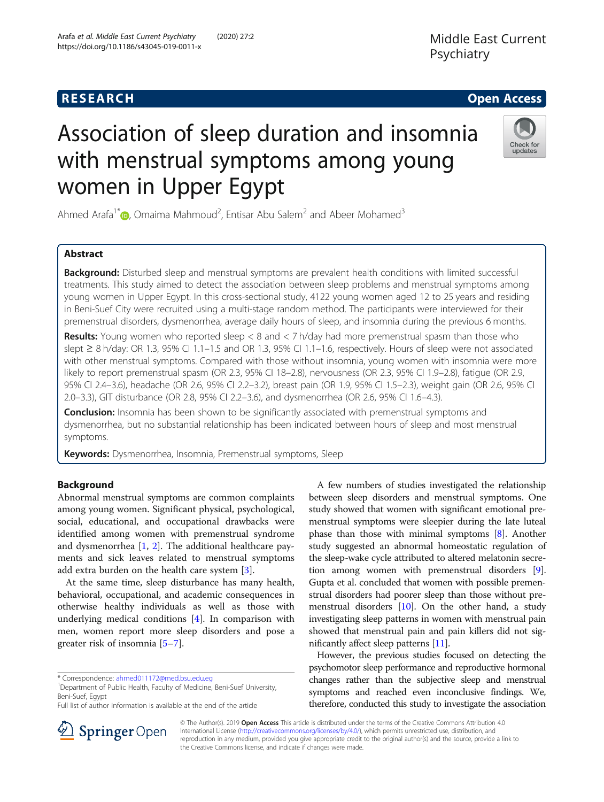# Association of sleep duration and insomnia with menstrual symptoms among young women in Upper Egypt

Ahmed Arafa<sup>1\*</sup> $\bullet$ , Omaima Mahmoud<sup>2</sup>, Entisar Abu Salem<sup>2</sup> and Abeer Mohamed<sup>3</sup>

# Abstract

**Background:** Disturbed sleep and menstrual symptoms are prevalent health conditions with limited successful treatments. This study aimed to detect the association between sleep problems and menstrual symptoms among young women in Upper Egypt. In this cross-sectional study, 4122 young women aged 12 to 25 years and residing in Beni-Suef City were recruited using a multi-stage random method. The participants were interviewed for their premenstrual disorders, dysmenorrhea, average daily hours of sleep, and insomnia during the previous 6 months.

**Results:** Young women who reported sleep  $\lt 8$  and  $\lt 7$  h/day had more premenstrual spasm than those who slept ≥ 8 h/day: OR 1.3, 95% CI 1.1–1.5 and OR 1.3, 95% CI 1.1–1.6, respectively. Hours of sleep were not associated with other menstrual symptoms. Compared with those without insomnia, young women with insomnia were more likely to report premenstrual spasm (OR 2.3, 95% CI 18–2.8), nervousness (OR 2.3, 95% CI 1.9–2.8), fatigue (OR 2.9, 95% CI 2.4–3.6), headache (OR 2.6, 95% CI 2.2–3.2), breast pain (OR 1.9, 95% CI 1.5–2.3), weight gain (OR 2.6, 95% CI 2.0–3.3), GIT disturbance (OR 2.8, 95% CI 2.2–3.6), and dysmenorrhea (OR 2.6, 95% CI 1.6–4.3).

**Conclusion:** Insomnia has been shown to be significantly associated with premenstrual symptoms and dysmenorrhea, but no substantial relationship has been indicated between hours of sleep and most menstrual symptoms.

Keywords: Dysmenorrhea, Insomnia, Premenstrual symptoms, Sleep

### Background

Abnormal menstrual symptoms are common complaints among young women. Significant physical, psychological, social, educational, and occupational drawbacks were identified among women with premenstrual syndrome and dysmenorrhea  $[1, 2]$  $[1, 2]$  $[1, 2]$  $[1, 2]$  $[1, 2]$ . The additional healthcare payments and sick leaves related to menstrual symptoms add extra burden on the health care system [[3\]](#page-4-0).

At the same time, sleep disturbance has many health, behavioral, occupational, and academic consequences in otherwise healthy individuals as well as those with underlying medical conditions [[4\]](#page-4-0). In comparison with men, women report more sleep disorders and pose a greater risk of insomnia [\[5](#page-4-0)–[7](#page-4-0)].

\* Correspondence: [ahmed011172@med.bsu.edu.eg](mailto:ahmed011172@med.bsu.edu.eg) <sup>1</sup>

<sup>1</sup>Department of Public Health, Faculty of Medicine, Beni-Suef University, Beni-Suef, Egypt

between sleep disorders and menstrual symptoms. One study showed that women with significant emotional premenstrual symptoms were sleepier during the late luteal phase than those with minimal symptoms [\[8](#page-4-0)]. Another study suggested an abnormal homeostatic regulation of the sleep-wake cycle attributed to altered melatonin secretion among women with premenstrual disorders [[9](#page-4-0)]. Gupta et al. concluded that women with possible premenstrual disorders had poorer sleep than those without premenstrual disorders [[10](#page-4-0)]. On the other hand, a study investigating sleep patterns in women with menstrual pain showed that menstrual pain and pain killers did not significantly affect sleep patterns [\[11\]](#page-4-0).

A few numbers of studies investigated the relationship

However, the previous studies focused on detecting the psychomotor sleep performance and reproductive hormonal changes rather than the subjective sleep and menstrual symptoms and reached even inconclusive findings. We, therefore, conducted this study to investigate the association

https://doi.org/10.1186/s43045-019-0011-x

SpringerOpen

© The Author(s). 2019 Open Access This article is distributed under the terms of the Creative Commons Attribution 4.0 International License ([http://creativecommons.org/licenses/by/4.0/\)](http://creativecommons.org/licenses/by/4.0/), which permits unrestricted use, distribution, and reproduction in any medium, provided you give appropriate credit to the original author(s) and the source, provide a link to the Creative Commons license, and indicate if changes were made.





Full list of author information is available at the end of the article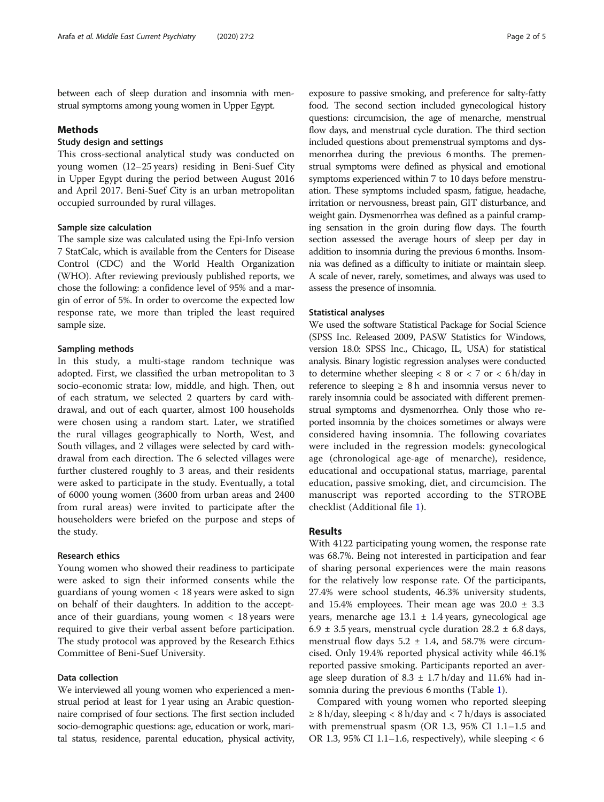between each of sleep duration and insomnia with menstrual symptoms among young women in Upper Egypt.

#### Methods

### Study design and settings

This cross-sectional analytical study was conducted on young women (12–25 years) residing in Beni-Suef City in Upper Egypt during the period between August 2016 and April 2017. Beni-Suef City is an urban metropolitan occupied surrounded by rural villages.

#### Sample size calculation

The sample size was calculated using the Epi-Info version 7 StatCalc, which is available from the Centers for Disease Control (CDC) and the World Health Organization (WHO). After reviewing previously published reports, we chose the following: a confidence level of 95% and a margin of error of 5%. In order to overcome the expected low response rate, we more than tripled the least required sample size.

#### Sampling methods

In this study, a multi-stage random technique was adopted. First, we classified the urban metropolitan to 3 socio-economic strata: low, middle, and high. Then, out of each stratum, we selected 2 quarters by card withdrawal, and out of each quarter, almost 100 households were chosen using a random start. Later, we stratified the rural villages geographically to North, West, and South villages, and 2 villages were selected by card withdrawal from each direction. The 6 selected villages were further clustered roughly to 3 areas, and their residents were asked to participate in the study. Eventually, a total of 6000 young women (3600 from urban areas and 2400 from rural areas) were invited to participate after the householders were briefed on the purpose and steps of the study.

#### Research ethics

Young women who showed their readiness to participate were asked to sign their informed consents while the guardians of young women < 18 years were asked to sign on behalf of their daughters. In addition to the acceptance of their guardians, young women  $\langle 18 \rangle$  years were required to give their verbal assent before participation. The study protocol was approved by the Research Ethics Committee of Beni-Suef University.

#### Data collection

We interviewed all young women who experienced a menstrual period at least for 1 year using an Arabic questionnaire comprised of four sections. The first section included socio-demographic questions: age, education or work, marital status, residence, parental education, physical activity,

exposure to passive smoking, and preference for salty-fatty food. The second section included gynecological history questions: circumcision, the age of menarche, menstrual flow days, and menstrual cycle duration. The third section included questions about premenstrual symptoms and dysmenorrhea during the previous 6 months. The premenstrual symptoms were defined as physical and emotional symptoms experienced within 7 to 10 days before menstruation. These symptoms included spasm, fatigue, headache, irritation or nervousness, breast pain, GIT disturbance, and weight gain. Dysmenorrhea was defined as a painful cramping sensation in the groin during flow days. The fourth section assessed the average hours of sleep per day in addition to insomnia during the previous 6 months. Insomnia was defined as a difficulty to initiate or maintain sleep. A scale of never, rarely, sometimes, and always was used to assess the presence of insomnia.

#### Statistical analyses

We used the software Statistical Package for Social Science (SPSS Inc. Released 2009, PASW Statistics for Windows, version 18.0: SPSS Inc., Chicago, IL, USA) for statistical analysis. Binary logistic regression analyses were conducted to determine whether sleeping  $< 8$  or  $< 7$  or  $< 6$  h/day in reference to sleeping  $\geq 8$  h and insomnia versus never to rarely insomnia could be associated with different premenstrual symptoms and dysmenorrhea. Only those who reported insomnia by the choices sometimes or always were considered having insomnia. The following covariates were included in the regression models: gynecological age (chronological age-age of menarche), residence, educational and occupational status, marriage, parental education, passive smoking, diet, and circumcision. The manuscript was reported according to the STROBE checklist (Additional file [1\)](#page-3-0).

#### Results

With 4122 participating young women, the response rate was 68.7%. Being not interested in participation and fear of sharing personal experiences were the main reasons for the relatively low response rate. Of the participants, 27.4% were school students, 46.3% university students, and 15.4% employees. Their mean age was  $20.0 \pm 3.3$ years, menarche age  $13.1 \pm 1.4$  years, gynecological age 6.9  $\pm$  3.5 years, menstrual cycle duration 28.2  $\pm$  6.8 days, menstrual flow days  $5.2 \pm 1.4$ , and  $58.7\%$  were circumcised. Only 19.4% reported physical activity while 46.1% reported passive smoking. Participants reported an average sleep duration of 8.3  $\pm$  1.7 h/day and 11.6% had insomnia during the previous 6 months (Table [1](#page-2-0)).

Compared with young women who reported sleeping ≥ 8 h/day, sleeping < 8 h/day and < 7 h/days is associated with premenstrual spasm (OR 1.3, 95% CI 1.1–1.5 and OR 1.3, 95% CI 1.1–1.6, respectively), while sleeping  $<$  6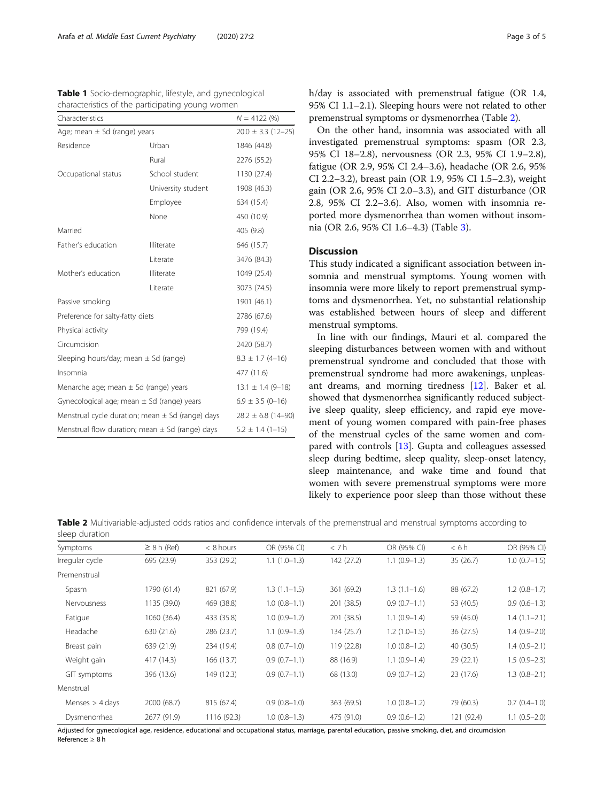<span id="page-2-0"></span>

| <b>Table 1</b> Socio-demographic, lifestyle, and gynecological |  |  |  |
|----------------------------------------------------------------|--|--|--|
| characteristics of the participating young women               |  |  |  |

| Characteristics                                      |                                                     | $N = 4122(%)$          |  |
|------------------------------------------------------|-----------------------------------------------------|------------------------|--|
| Age; mean $\pm$ Sd (range) years                     |                                                     | $20.0 \pm 3.3$ (12-25) |  |
| Residence                                            | Urban                                               | 1846 (44.8)            |  |
|                                                      | Rural                                               | 2276 (55.2)            |  |
| Occupational status                                  | School student                                      | 1130 (27.4)            |  |
|                                                      | University student                                  | 1908 (46.3)            |  |
|                                                      | Employee                                            | 634 (15.4)             |  |
|                                                      | None                                                | 450 (10.9)             |  |
| Married                                              |                                                     | 405 (9.8)              |  |
| Father's education                                   | Illiterate                                          | 646 (15.7)             |  |
|                                                      | Literate                                            | 3476 (84.3)            |  |
| Mother's education                                   | Illiterate                                          | 1049 (25.4)            |  |
|                                                      | Literate                                            | 3073 (74.5)            |  |
| Passive smoking                                      |                                                     | 1901 (46.1)            |  |
| Preference for salty-fatty diets                     | 2786 (67.6)                                         |                        |  |
| Physical activity                                    |                                                     | 799 (19.4)             |  |
| Circumcision                                         |                                                     | 2420 (58.7)            |  |
| Sleeping hours/day; mean $\pm$ Sd (range)            | $8.3 \pm 1.7 (4 - 16)$                              |                        |  |
| Insomnia                                             | 477 (11.6)                                          |                        |  |
| Menarche age; mean $\pm$ Sd (range) years            | $13.1 \pm 1.4 (9 - 18)$                             |                        |  |
| Gynecological age; mean $\pm$ Sd (range) years       |                                                     | $6.9 \pm 3.5$ (0-16)   |  |
| Menstrual cycle duration; mean $\pm$ Sd (range) days |                                                     | $28.2 \pm 6.8$ (14-90) |  |
|                                                      | Menstrual flow duration; mean $\pm$ Sd (range) days | $5.2 \pm 1.4$ (1-15)   |  |

h/day is associated with premenstrual fatigue (OR 1.4, 95% CI 1.1–2.1). Sleeping hours were not related to other premenstrual symptoms or dysmenorrhea (Table 2).

On the other hand, insomnia was associated with all investigated premenstrual symptoms: spasm (OR 2.3, 95% CI 18–2.8), nervousness (OR 2.3, 95% CI 1.9–2.8), fatigue (OR 2.9, 95% CI 2.4–3.6), headache (OR 2.6, 95% CI 2.2–3.2), breast pain (OR 1.9, 95% CI 1.5–2.3), weight gain (OR 2.6, 95% CI 2.0–3.3), and GIT disturbance (OR 2.8, 95% CI 2.2–3.6). Also, women with insomnia reported more dysmenorrhea than women without insomnia (OR 2.6, 95% CI 1.6–4.3) (Table [3](#page-3-0)).

#### **Discussion**

This study indicated a significant association between insomnia and menstrual symptoms. Young women with insomnia were more likely to report premenstrual symptoms and dysmenorrhea. Yet, no substantial relationship was established between hours of sleep and different menstrual symptoms.

In line with our findings, Mauri et al. compared the sleeping disturbances between women with and without premenstrual syndrome and concluded that those with premenstrual syndrome had more awakenings, unpleasant dreams, and morning tiredness [[12\]](#page-4-0). Baker et al. showed that dysmenorrhea significantly reduced subjective sleep quality, sleep efficiency, and rapid eye movement of young women compared with pain-free phases of the menstrual cycles of the same women and compared with controls [\[13\]](#page-4-0). Gupta and colleagues assessed sleep during bedtime, sleep quality, sleep-onset latency, sleep maintenance, and wake time and found that women with severe premenstrual symptoms were more likely to experience poor sleep than those without these

Table 2 Multivariable-adjusted odds ratios and confidence intervals of the premenstrual and menstrual symptoms according to sleep duration

| Symptoms          | $\geq$ 8 h (Ref) | $< 8$ hours | OR (95% CI)    | < 7 h      | OR (95% CI)    | < 6h       | OR (95% CI)    |
|-------------------|------------------|-------------|----------------|------------|----------------|------------|----------------|
| Irregular cycle   | 695 (23.9)       | 353 (29.2)  | $1.1(1.0-1.3)$ | 142 (27.2) | $1.1(0.9-1.3)$ | 35 (26.7)  | $1.0(0.7-1.5)$ |
| Premenstrual      |                  |             |                |            |                |            |                |
| Spasm             | 1790 (61.4)      | 821 (67.9)  | $1.3(1.1-1.5)$ | 361 (69.2) | $1.3(1.1-1.6)$ | 88 (67.2)  | $1.2(0.8-1.7)$ |
| Nervousness       | 1135 (39.0)      | 469 (38.8)  | $1.0(0.8-1.1)$ | 201 (38.5) | $0.9(0.7-1.1)$ | 53 (40.5)  | $0.9(0.6-1.3)$ |
| Fatigue           | 1060 (36.4)      | 433 (35.8)  | $1.0(0.9-1.2)$ | 201 (38.5) | $1.1(0.9-1.4)$ | 59 (45.0)  | $1.4(1.1-2.1)$ |
| Headache          | 630 (21.6)       | 286 (23.7)  | $1.1(0.9-1.3)$ | 134 (25.7) | $1.2(1.0-1.5)$ | 36 (27.5)  | $1.4(0.9-2.0)$ |
| Breast pain       | 639 (21.9)       | 234 (19.4)  | $0.8(0.7-1.0)$ | 119 (22.8) | $1.0(0.8-1.2)$ | 40 (30.5)  | $1.4(0.9-2.1)$ |
| Weight gain       | 417 (14.3)       | 166 (13.7)  | $0.9(0.7-1.1)$ | 88 (16.9)  | $1.1(0.9-1.4)$ | 29 (22.1)  | $1.5(0.9-2.3)$ |
| GIT symptoms      | 396 (13.6)       | 149 (12.3)  | $0.9(0.7-1.1)$ | 68 (13.0)  | $0.9(0.7-1.2)$ | 23 (17.6)  | $1.3(0.8-2.1)$ |
| Menstrual         |                  |             |                |            |                |            |                |
| Menses $>$ 4 days | 2000 (68.7)      | 815 (67.4)  | $0.9(0.8-1.0)$ | 363 (69.5) | $1.0(0.8-1.2)$ | 79 (60.3)  | $0.7(0.4-1.0)$ |
| Dysmenorrhea      | 2677 (91.9)      | 1116 (92.3) | $1.0(0.8-1.3)$ | 475 (91.0) | $0.9(0.6-1.2)$ | 121 (92.4) | $1.1(0.5-2.0)$ |

Adjusted for gynecological age, residence, educational and occupational status, marriage, parental education, passive smoking, diet, and circumcision Reference: ≥ 8 h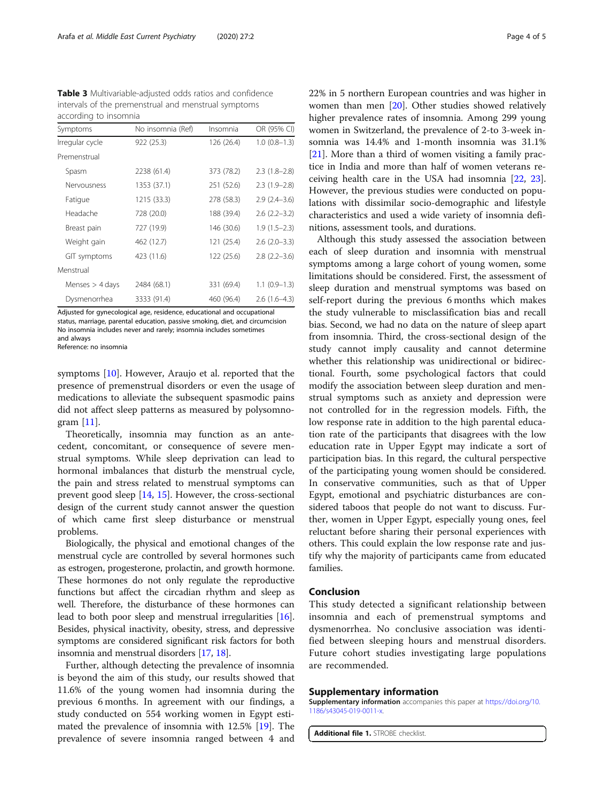<span id="page-3-0"></span>Table 3 Multivariable-adjusted odds ratios and confidence intervals of the premenstrual and menstrual symptoms according to insomnia

| Symptoms          | No insomnia (Ref) | Insomnia   | OR (95% CI)         |
|-------------------|-------------------|------------|---------------------|
| Irregular cycle   | 922 (25.3)        | 126 (26.4) | $1.0(0.8-1.3)$      |
| Premenstrual      |                   |            |                     |
| Spasm             | 2238 (61.4)       | 373 (78.2) | $2.3(1.8-2.8)$      |
| Nervousness       | 1353 (37.1)       | 251 (52.6) | $2.3(1.9-2.8)$      |
| Fatigue           | 1215 (33.3)       | 278 (58.3) | $2.9(2.4-3.6)$      |
| Headache          | 728 (20.0)        | 188 (39.4) | $2.6(2.2 - 3.2)$    |
| Breast pain       | 727 (19.9)        | 146 (30.6) | $1.9(1.5-2.3)$      |
| Weight gain       | 462 (12.7)        | 121 (25.4) | $2.6(2.0-3.3)$      |
| GIT symptoms      | 423 (11.6)        | 122 (25.6) | $2.8$ $(2.2 - 3.6)$ |
| Menstrual         |                   |            |                     |
| Menses $>$ 4 days | 2484 (68.1)       | 331 (69.4) | $1.1(0.9-1.3)$      |
| Dysmenorrhea      | 3333 (91.4)       | 460 (96.4) | $2.6(1.6-4.3)$      |

Adjusted for gynecological age, residence, educational and occupational status, marriage, parental education, passive smoking, diet, and circumcision No insomnia includes never and rarely; insomnia includes sometimes and always

Reference: no insomnia

symptoms [\[10\]](#page-4-0). However, Araujo et al. reported that the presence of premenstrual disorders or even the usage of medications to alleviate the subsequent spasmodic pains did not affect sleep patterns as measured by polysomnogram [[11\]](#page-4-0).

Theoretically, insomnia may function as an antecedent, concomitant, or consequence of severe menstrual symptoms. While sleep deprivation can lead to hormonal imbalances that disturb the menstrual cycle, the pain and stress related to menstrual symptoms can prevent good sleep [[14,](#page-4-0) [15\]](#page-4-0). However, the cross-sectional design of the current study cannot answer the question of which came first sleep disturbance or menstrual problems.

Biologically, the physical and emotional changes of the menstrual cycle are controlled by several hormones such as estrogen, progesterone, prolactin, and growth hormone. These hormones do not only regulate the reproductive functions but affect the circadian rhythm and sleep as well. Therefore, the disturbance of these hormones can lead to both poor sleep and menstrual irregularities [[16](#page-4-0)]. Besides, physical inactivity, obesity, stress, and depressive symptoms are considered significant risk factors for both insomnia and menstrual disorders [[17](#page-4-0), [18\]](#page-4-0).

Further, although detecting the prevalence of insomnia is beyond the aim of this study, our results showed that 11.6% of the young women had insomnia during the previous 6 months. In agreement with our findings, a study conducted on 554 working women in Egypt estimated the prevalence of insomnia with 12.5% [\[19](#page-4-0)]. The prevalence of severe insomnia ranged between 4 and 22% in 5 northern European countries and was higher in women than men [[20\]](#page-4-0). Other studies showed relatively higher prevalence rates of insomnia. Among 299 young women in Switzerland, the prevalence of 2-to 3-week insomnia was 14.4% and 1-month insomnia was 31.1% [[21\]](#page-4-0). More than a third of women visiting a family practice in India and more than half of women veterans receiving health care in the USA had insomnia [[22,](#page-4-0) [23](#page-4-0)]. However, the previous studies were conducted on populations with dissimilar socio-demographic and lifestyle characteristics and used a wide variety of insomnia definitions, assessment tools, and durations.

Although this study assessed the association between each of sleep duration and insomnia with menstrual symptoms among a large cohort of young women, some limitations should be considered. First, the assessment of sleep duration and menstrual symptoms was based on self-report during the previous 6 months which makes the study vulnerable to misclassification bias and recall bias. Second, we had no data on the nature of sleep apart from insomnia. Third, the cross-sectional design of the study cannot imply causality and cannot determine whether this relationship was unidirectional or bidirectional. Fourth, some psychological factors that could modify the association between sleep duration and menstrual symptoms such as anxiety and depression were not controlled for in the regression models. Fifth, the low response rate in addition to the high parental education rate of the participants that disagrees with the low education rate in Upper Egypt may indicate a sort of participation bias. In this regard, the cultural perspective of the participating young women should be considered. In conservative communities, such as that of Upper Egypt, emotional and psychiatric disturbances are considered taboos that people do not want to discuss. Further, women in Upper Egypt, especially young ones, feel reluctant before sharing their personal experiences with others. This could explain the low response rate and justify why the majority of participants came from educated families.

#### Conclusion

This study detected a significant relationship between insomnia and each of premenstrual symptoms and dysmenorrhea. No conclusive association was identified between sleeping hours and menstrual disorders. Future cohort studies investigating large populations are recommended.

#### Supplementary information

Supplementary information accompanies this paper at [https://doi.org/10.](https://doi.org/10.1186/s43045-019-0011-x) [1186/s43045-019-0011-x](https://doi.org/10.1186/s43045-019-0011-x).

Additional file 1. STROBE checklist.